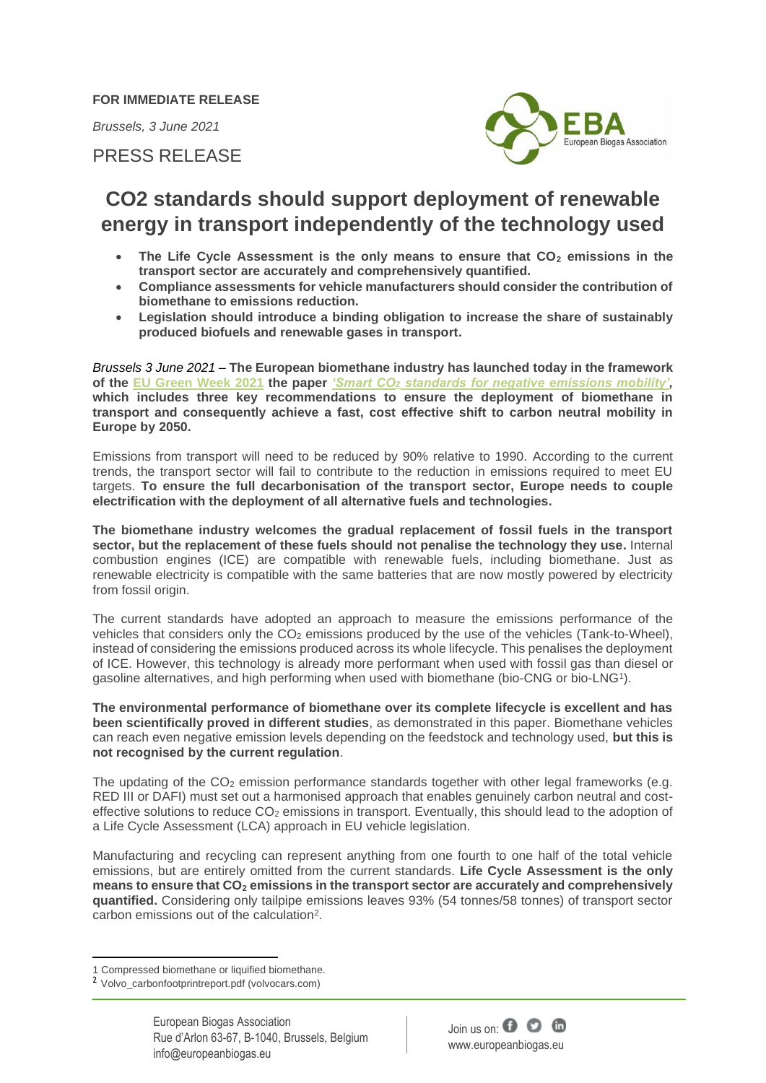**FOR IMMEDIATE RELEASE**

*Brussels, 3 June 2021*

PRESS RELEASE



## **CO2 standards should support deployment of renewable energy in transport independently of the technology used**

- **The Life Cycle Assessment is the only means to ensure that CO<sup>2</sup> emissions in the transport sector are accurately and comprehensively quantified.**
- **Compliance assessments for vehicle manufacturers should consider the contribution of biomethane to emissions reduction.**
- **Legislation should introduce a binding obligation to increase the share of sustainably produced biofuels and renewable gases in transport.**

*Brussels 3 June 2021* – **The European biomethane industry has launched today in the framework of the EU [Green Week](https://www.eugreenweek.eu/) 2021 the paper** *'Smart CO<sup>2</sup> [standards for negative emissions mobility',](https://www.europeanbiogas.eu/wp-content/uploads/2021/06/SMART-CO2-STANDARDS-FOR-NEGATIVE-EMISSIONS-MOBILITY.pdf)* **which includes three key recommendations to ensure the deployment of biomethane in transport and consequently achieve a fast, cost effective shift to carbon neutral mobility in Europe by 2050.** 

Emissions from transport will need to be reduced by 90% relative to 1990. According to the current trends, the transport sector will fail to contribute to the reduction in emissions required to meet EU targets. **To ensure the full decarbonisation of the transport sector, Europe needs to couple electrification with the deployment of all alternative fuels and technologies.** 

**The biomethane industry welcomes the gradual replacement of fossil fuels in the transport sector, but the replacement of these fuels should not penalise the technology they use.** Internal combustion engines (ICE) are compatible with renewable fuels, including biomethane. Just as renewable electricity is compatible with the same batteries that are now mostly powered by electricity from fossil origin.

The current standards have adopted an approach to measure the emissions performance of the vehicles that considers only the  $CO<sub>2</sub>$  emissions produced by the use of the vehicles (Tank-to-Wheel), instead of considering the emissions produced across its whole lifecycle. This penalises the deployment of ICE. However, this technology is already more performant when used with fossil gas than diesel or gasoline alternatives, and high performing when used with biomethane (bio-CNG or bio-LNG<sup>1</sup> ).

**The environmental performance of biomethane over its complete lifecycle is excellent and has been scientifically proved in different studies**, as demonstrated in this paper. Biomethane vehicles can reach even negative emission levels depending on the feedstock and technology used, **but this is not recognised by the current regulation**.

The updating of the  $CO<sub>2</sub>$  emission performance standards together with other legal frameworks (e.g. RED III or DAFI) must set out a harmonised approach that enables genuinely carbon neutral and costeffective solutions to reduce CO<sub>2</sub> emissions in transport. Eventually, this should lead to the adoption of a Life Cycle Assessment (LCA) approach in EU vehicle legislation.

Manufacturing and recycling can represent anything from one fourth to one half of the total vehicle emissions, but are entirely omitted from the current standards. **Life Cycle Assessment is the only means to ensure that CO<sup>2</sup> emissions in the transport sector are accurately and comprehensively quantified.** Considering only tailpipe emissions leaves 93% (54 tonnes/58 tonnes) of transport sector carbon emissions out of the calculation<sup>2</sup>.



<sup>1</sup> Compressed biomethane or liquified biomethane.

<sup>2</sup> Volvo\_carbonfootprintreport.pdf (volvocars.com)